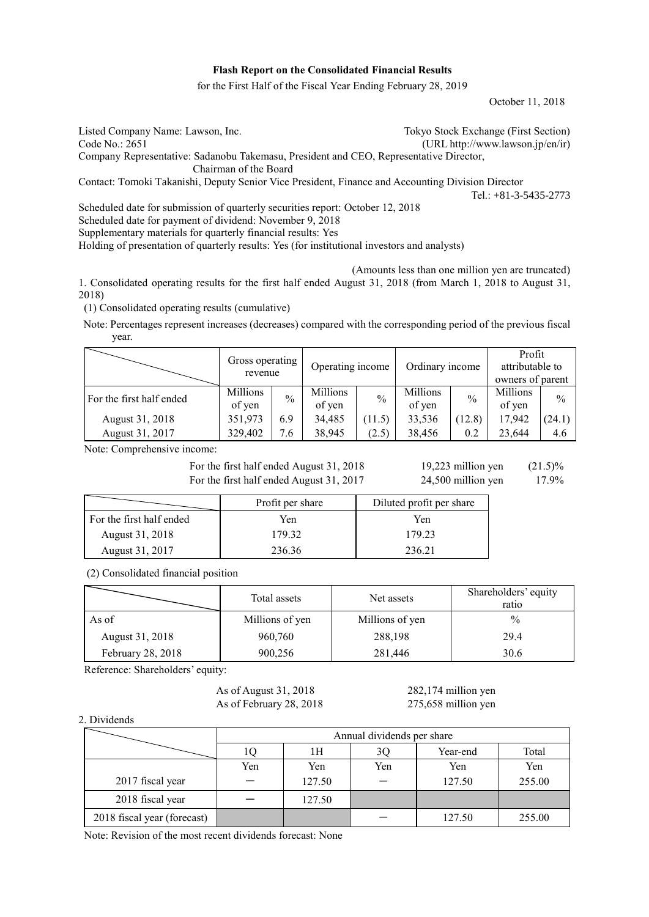# **Flash Report on the Consolidated Financial Results**

for the First Half of the Fiscal Year Ending February 28, 2019

October 11, 2018

| Listed Company Name: Lawson, Inc.                                                                 | Tokyo Stock Exchange (First Section) |  |  |  |
|---------------------------------------------------------------------------------------------------|--------------------------------------|--|--|--|
| Code No.: 2651                                                                                    | (URL http://www.lawson.jp/en/ir)     |  |  |  |
| Company Representative: Sadanobu Takemasu, President and CEO, Representative Director,            |                                      |  |  |  |
| Chairman of the Board                                                                             |                                      |  |  |  |
| Contact: Tomoki Takanishi, Deputy Senior Vice President, Finance and Accounting Division Director |                                      |  |  |  |
|                                                                                                   | Tel.: $+81-3-5435-2773$              |  |  |  |
| Scheduled date for submission of quarterly securities report: October 12, 2018                    |                                      |  |  |  |

Scheduled date for payment of dividend: November 9, 2018

Supplementary materials for quarterly financial results: Yes

Holding of presentation of quarterly results: Yes (for institutional investors and analysts)

(Amounts less than one million yen are truncated)

1. Consolidated operating results for the first half ended August 31, 2018 (from March 1, 2018 to August 31, 2018)

(1) Consolidated operating results (cumulative)

Note: Percentages represent increases (decreases) compared with the corresponding period of the previous fiscal year.

|                          | Gross operating<br>revenue |               | Operating income          |               | Ordinary income           |               | Profit<br>attributable to<br>owners of parent |               |
|--------------------------|----------------------------|---------------|---------------------------|---------------|---------------------------|---------------|-----------------------------------------------|---------------|
| For the first half ended | <b>Millions</b><br>of yen  | $\frac{0}{0}$ | <b>Millions</b><br>of yen | $\frac{0}{0}$ | <b>Millions</b><br>of yen | $\frac{0}{0}$ | Millions<br>of yen                            | $\frac{0}{0}$ |
| August 31, 2018          | 351,973                    | 6.9           | 34,485                    | (11.5)        | 33,536                    | (12.8)        | 17,942                                        | (24.1)        |
| August 31, 2017          | 329,402                    | 7.6           | 38,945                    | (2.5)         | 38,456                    | 0.2           | 23.644                                        | 4.6           |

Note: Comprehensive income:

For the first half ended August 31, 2018  $19,223$  million yen  $(21.5)\%$ For the first half ended August 31, 2017 24,500 million yen 17.9%

|                          | Profit per share | Diluted profit per share |  |  |
|--------------------------|------------------|--------------------------|--|--|
| For the first half ended | Yen              | Yen                      |  |  |
| August 31, 2018          | 179 32           | 179.23                   |  |  |
| August 31, 2017          | 236.36           | 236.21                   |  |  |

(2) Consolidated financial position

|                   | Total assets    | Net assets      | Shareholders' equity<br>ratio |
|-------------------|-----------------|-----------------|-------------------------------|
| As of             | Millions of yen | Millions of yen | $\frac{0}{0}$                 |
| August 31, 2018   | 960,760         | 288,198         | 29.4                          |
| February 28, 2018 | 900,256         | 281,446         | 30.6                          |

Reference: Shareholders' equity:

As of August 31, 2018 282,174 million yen As of February 28, 2018 275,658 million yen

2. Dividends

|                             |     | Annual dividends per share |     |          |        |  |  |
|-----------------------------|-----|----------------------------|-----|----------|--------|--|--|
|                             |     | 1H                         | 3Q  | Year-end | Total  |  |  |
|                             | Yen | Yen                        | Yen | Yen      | Yen    |  |  |
| 2017 fiscal year            |     | 127.50                     |     | 127.50   | 255.00 |  |  |
| 2018 fiscal year            |     | 127.50                     |     |          |        |  |  |
| 2018 fiscal year (forecast) |     |                            |     | 127.50   | 255.00 |  |  |

Note: Revision of the most recent dividends forecast: None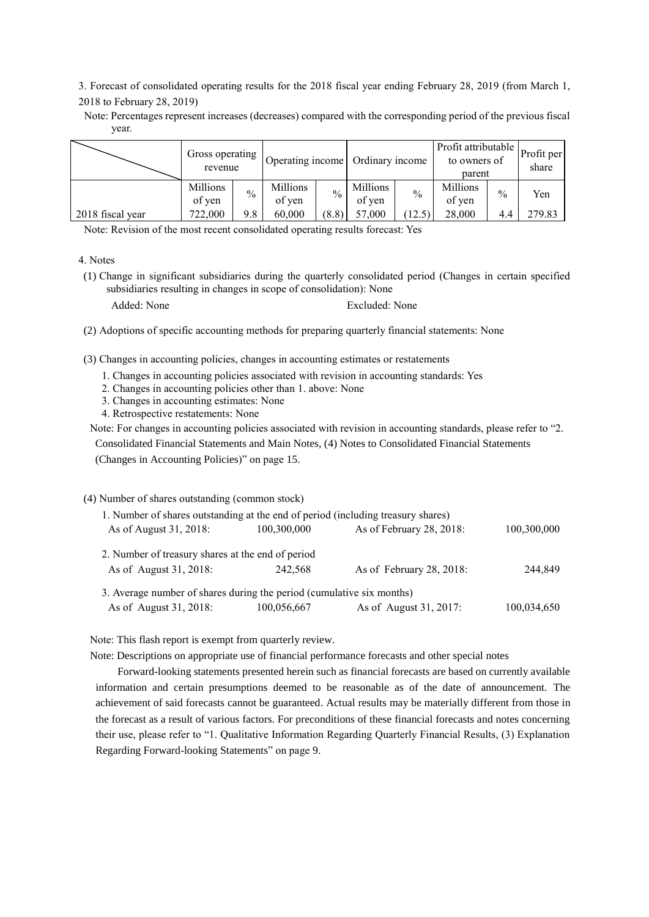3. Forecast of consolidated operating results for the 2018 fiscal year ending February 28, 2019 (from March 1, 2018 to February 28, 2019)

Note: Percentages represent increases (decreases) compared with the corresponding period of the previous fiscal year.

|                  | Gross operating<br>revenue |               | Operating income   |               | Ordinary income    |               | Profit attributable<br>to owners of<br>parent |               | Profit per<br>share |
|------------------|----------------------------|---------------|--------------------|---------------|--------------------|---------------|-----------------------------------------------|---------------|---------------------|
|                  | Millions<br>of yen         | $\frac{0}{0}$ | Millions<br>of yen | $\frac{0}{0}$ | Millions<br>of yen | $\frac{0}{0}$ | Millions<br>of yen                            | $\frac{0}{0}$ | Yen                 |
| 2018 fiscal year | 722,000                    | 9.8           | 60.000             | (8.8)         | 57,000             | 12.5          | 28.000                                        | 4.4           | 279.83              |

Note: Revision of the most recent consolidated operating results forecast: Yes

(1) Change in significant subsidiaries during the quarterly consolidated period (Changes in certain specified subsidiaries resulting in changes in scope of consolidation): None

Added: None Excluded: None

- (2) Adoptions of specific accounting methods for preparing quarterly financial statements: None
- (3) Changes in accounting policies, changes in accounting estimates or restatements
	- 1. Changes in accounting policies associated with revision in accounting standards: Yes
	- 2. Changes in accounting policies other than 1. above: None
	- 3. Changes in accounting estimates: None
	- 4. Retrospective restatements: None

Note: For changes in accounting policies associated with revision in accounting standards, please refer to "2. Consolidated Financial Statements and Main Notes, (4) Notes to Consolidated Financial Statements (Changes in Accounting Policies)" on page 15.

# (4) Number of shares outstanding (common stock)

| 1. Number of shares outstanding at the end of period (including treasury shares) |             |                          |             |
|----------------------------------------------------------------------------------|-------------|--------------------------|-------------|
| As of August 31, 2018:                                                           | 100,300,000 | As of February 28, 2018: | 100,300,000 |
| 2. Number of treasury shares at the end of period                                |             |                          |             |
| As of August 31, 2018:                                                           | 242.568     | As of February 28, 2018: | 244,849     |
| 3. Average number of shares during the period (cumulative six months)            |             |                          |             |
| As of August 31, 2018:                                                           | 100,056,667 | As of August 31, 2017:   | 100,034,650 |

Note: This flash report is exempt from quarterly review.

Note: Descriptions on appropriate use of financial performance forecasts and other special notes

Forward-looking statements presented herein such as financial forecasts are based on currently available information and certain presumptions deemed to be reasonable as of the date of announcement. The achievement of said forecasts cannot be guaranteed. Actual results may be materially different from those in the forecast as a result of various factors. For preconditions of these financial forecasts and notes concerning their use, please refer to "1. Qualitative Information Regarding Quarterly Financial Results, (3) Explanation Regarding Forward-looking Statements" on page 9.

<sup>4.</sup> Notes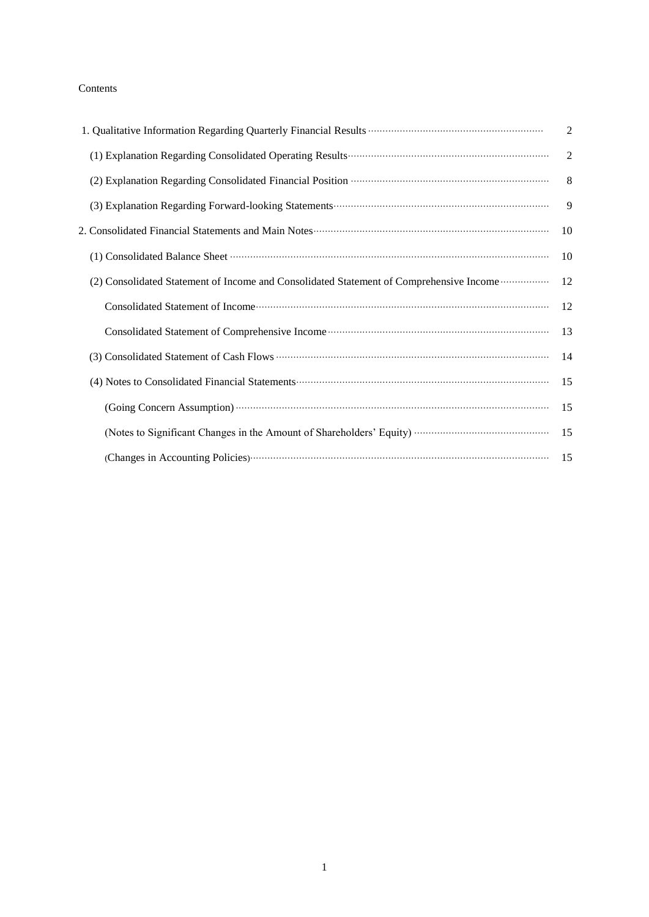# Contents

|                                                                                                                                                                                                                                | $\overline{2}$ |
|--------------------------------------------------------------------------------------------------------------------------------------------------------------------------------------------------------------------------------|----------------|
| (2) Explanation Regarding Consolidated Financial Position (2) Explanation Regarding Consolidated Financial Position (3)                                                                                                        | 8              |
|                                                                                                                                                                                                                                | 9              |
|                                                                                                                                                                                                                                |                |
|                                                                                                                                                                                                                                |                |
| (2) Consolidated Statement of Income and Consolidated Statement of Comprehensive Income  12                                                                                                                                    |                |
|                                                                                                                                                                                                                                |                |
|                                                                                                                                                                                                                                |                |
|                                                                                                                                                                                                                                |                |
| (4) Notes to Consolidated Financial Statements (2008) and the statements of the Material Statements (4) Notes to Consolidated Financial Statements (2008) and the statements of the Statements (3) and the Statements (3) and  |                |
| (Going Concern Assumption) (2000) (2000) (2000) (3000) (3000) (3000) (3000) (3000) (3000) (3000) (3000) (3000) (3000) (3000) (3000) (3000) (3000) (3000) (3000) (3000) (3000) (3000) (3000) (3000) (3000) (3000) (3000) (3000) |                |
|                                                                                                                                                                                                                                |                |
|                                                                                                                                                                                                                                |                |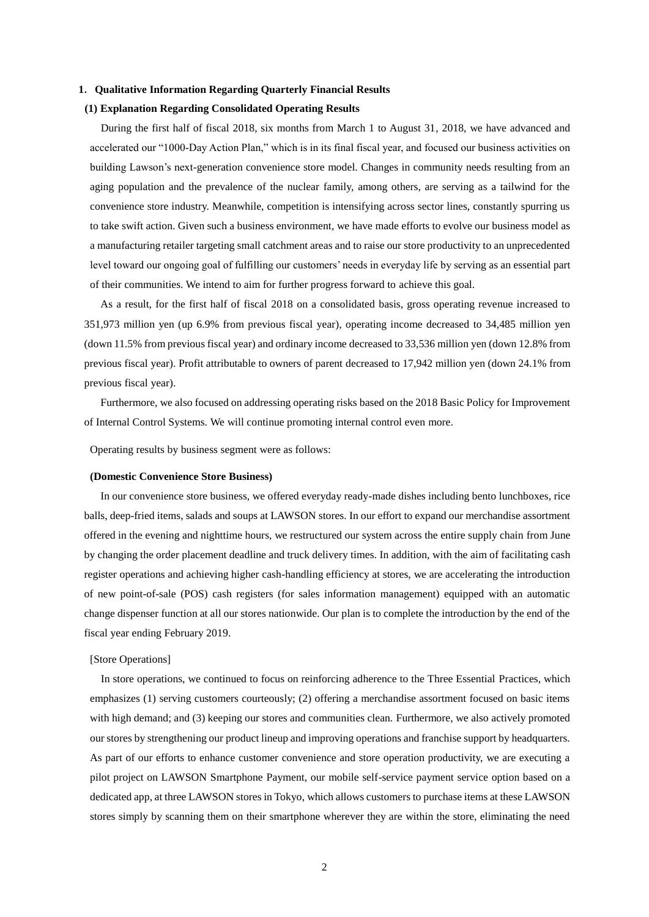# **1**.**Qualitative Information Regarding Quarterly Financial Results**

#### **(1) Explanation Regarding Consolidated Operating Results**

During the first half of fiscal 2018, six months from March 1 to August 31, 2018, we have advanced and accelerated our "1000-Day Action Plan," which is in its final fiscal year, and focused our business activities on building Lawson's next-generation convenience store model. Changes in community needs resulting from an aging population and the prevalence of the nuclear family, among others, are serving as a tailwind for the convenience store industry. Meanwhile, competition is intensifying across sector lines, constantly spurring us to take swift action. Given such a business environment, we have made efforts to evolve our business model as a manufacturing retailer targeting small catchment areas and to raise our store productivity to an unprecedented level toward our ongoing goal of fulfilling our customers' needs in everyday life by serving as an essential part of their communities. We intend to aim for further progress forward to achieve this goal.

As a result, for the first half of fiscal 2018 on a consolidated basis, gross operating revenue increased to 351,973 million yen (up 6.9% from previous fiscal year), operating income decreased to 34,485 million yen (down 11.5% from previous fiscal year) and ordinary income decreased to 33,536 million yen (down 12.8% from previous fiscal year). Profit attributable to owners of parent decreased to 17,942 million yen (down 24.1% from previous fiscal year).

Furthermore, we also focused on addressing operating risks based on the 2018 Basic Policy for Improvement of Internal Control Systems. We will continue promoting internal control even more.

Operating results by business segment were as follows:

#### **(Domestic Convenience Store Business)**

In our convenience store business, we offered everyday ready-made dishes including bento lunchboxes, rice balls, deep-fried items, salads and soups at LAWSON stores. In our effort to expand our merchandise assortment offered in the evening and nighttime hours, we restructured our system across the entire supply chain from June by changing the order placement deadline and truck delivery times. In addition, with the aim of facilitating cash register operations and achieving higher cash-handling efficiency at stores, we are accelerating the introduction of new point-of-sale (POS) cash registers (for sales information management) equipped with an automatic change dispenser function at all our stores nationwide. Our plan is to complete the introduction by the end of the fiscal year ending February 2019.

#### [Store Operations]

In store operations, we continued to focus on reinforcing adherence to the Three Essential Practices, which emphasizes (1) serving customers courteously; (2) offering a merchandise assortment focused on basic items with high demand; and (3) keeping our stores and communities clean. Furthermore, we also actively promoted our stores by strengthening our product lineup and improving operations and franchise support by headquarters. As part of our efforts to enhance customer convenience and store operation productivity, we are executing a pilot project on LAWSON Smartphone Payment, our mobile self-service payment service option based on a dedicated app, at three LAWSON stores in Tokyo, which allows customers to purchase items at these LAWSON stores simply by scanning them on their smartphone wherever they are within the store, eliminating the need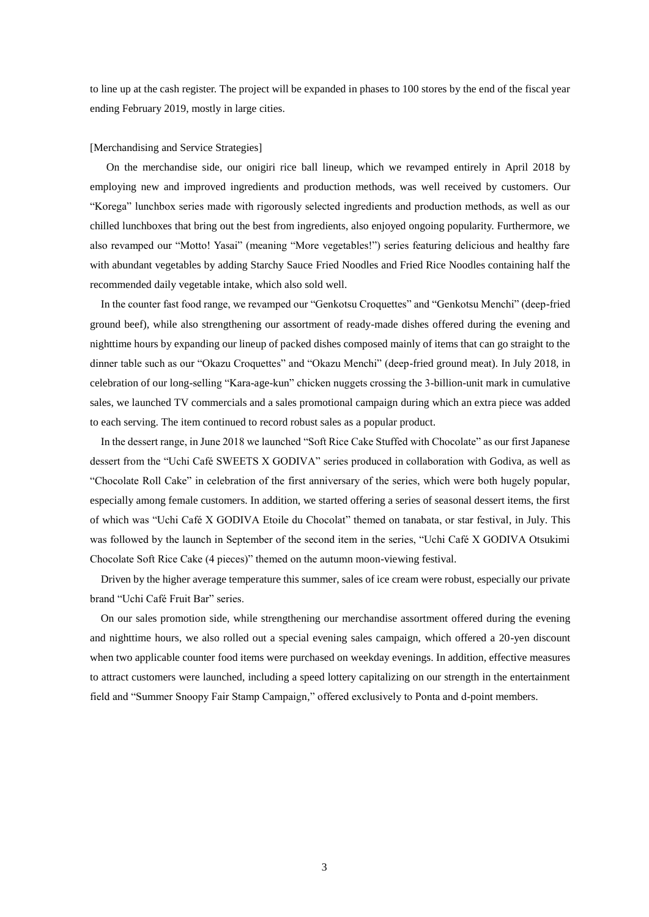to line up at the cash register. The project will be expanded in phases to 100 stores by the end of the fiscal year ending February 2019, mostly in large cities.

#### [Merchandising and Service Strategies]

On the merchandise side, our onigiri rice ball lineup, which we revamped entirely in April 2018 by employing new and improved ingredients and production methods, was well received by customers. Our "Korega" lunchbox series made with rigorously selected ingredients and production methods, as well as our chilled lunchboxes that bring out the best from ingredients, also enjoyed ongoing popularity. Furthermore, we also revamped our "Motto! Yasai" (meaning "More vegetables!") series featuring delicious and healthy fare with abundant vegetables by adding Starchy Sauce Fried Noodles and Fried Rice Noodles containing half the recommended daily vegetable intake, which also sold well.

In the counter fast food range, we revamped our "Genkotsu Croquettes" and "Genkotsu Menchi" (deep-fried ground beef), while also strengthening our assortment of ready-made dishes offered during the evening and nighttime hours by expanding our lineup of packed dishes composed mainly of items that can go straight to the dinner table such as our "Okazu Croquettes" and "Okazu Menchi" (deep-fried ground meat). In July 2018, in celebration of our long-selling "Kara-age-kun" chicken nuggets crossing the 3-billion-unit mark in cumulative sales, we launched TV commercials and a sales promotional campaign during which an extra piece was added to each serving. The item continued to record robust sales as a popular product.

In the dessert range, in June 2018 we launched "Soft Rice Cake Stuffed with Chocolate" as our first Japanese dessert from the "Uchi Café SWEETS X GODIVA" series produced in collaboration with Godiva, as well as "Chocolate Roll Cake" in celebration of the first anniversary of the series, which were both hugely popular, especially among female customers. In addition, we started offering a series of seasonal dessert items, the first of which was "Uchi Café X GODIVA Etoile du Chocolat" themed on tanabata, or star festival, in July. This was followed by the launch in September of the second item in the series, "Uchi Café X GODIVA Otsukimi Chocolate Soft Rice Cake (4 pieces)" themed on the autumn moon-viewing festival.

Driven by the higher average temperature this summer, sales of ice cream were robust, especially our private brand "Uchi Café Fruit Bar" series.

On our sales promotion side, while strengthening our merchandise assortment offered during the evening and nighttime hours, we also rolled out a special evening sales campaign, which offered a 20-yen discount when two applicable counter food items were purchased on weekday evenings. In addition, effective measures to attract customers were launched, including a speed lottery capitalizing on our strength in the entertainment field and "Summer Snoopy Fair Stamp Campaign," offered exclusively to Ponta and d-point members.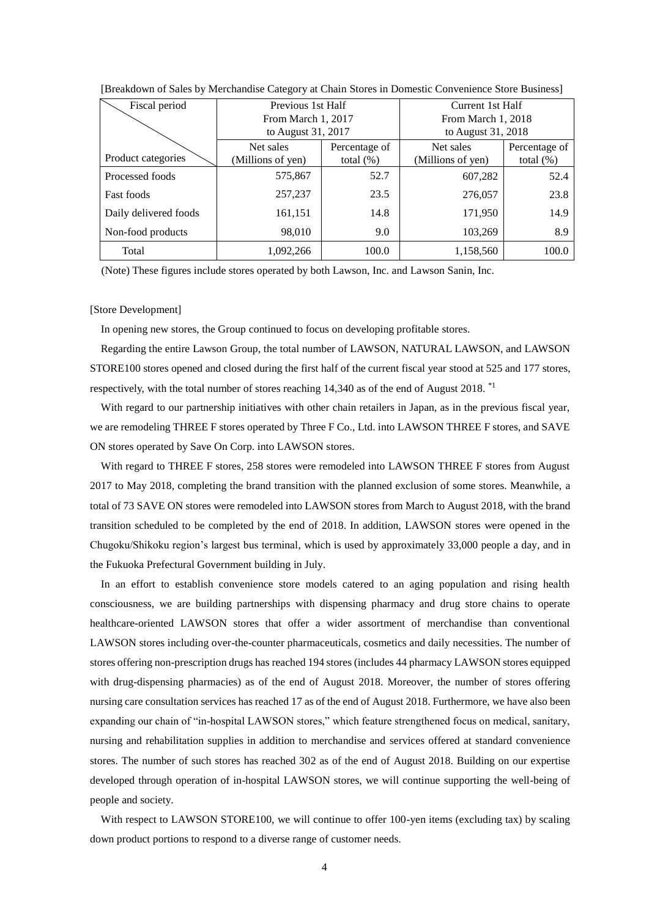| Fiscal period         | Previous 1st Half  |               | Current 1st Half   |               |  |
|-----------------------|--------------------|---------------|--------------------|---------------|--|
|                       | From March 1, 2017 |               | From March 1, 2018 |               |  |
|                       | to August 31, 2017 |               | to August 31, 2018 |               |  |
|                       | Net sales          | Percentage of | Net sales          | Percentage of |  |
| Product categories    | (Millions of yen)  | total $(\%)$  | (Millions of yen)  | total $(\%)$  |  |
| Processed foods       | 575,867            | 52.7          | 607,282            | 52.4          |  |
| <b>Fast foods</b>     | 257,237            | 23.5          | 276,057            | 23.8          |  |
| Daily delivered foods | 161,151            | 14.8          | 171,950            | 14.9          |  |
| Non-food products     | 98,010             | 9.0           | 103,269            | 8.9           |  |
| Total                 | 1,092,266          | 100.0         | 1,158,560          | 100.0         |  |

[Breakdown of Sales by Merchandise Category at Chain Stores in Domestic Convenience Store Business]

(Note) These figures include stores operated by both Lawson, Inc. and Lawson Sanin, Inc.

#### [Store Development]

In opening new stores, the Group continued to focus on developing profitable stores.

Regarding the entire Lawson Group, the total number of LAWSON, NATURAL LAWSON, and LAWSON STORE100 stores opened and closed during the first half of the current fiscal year stood at 525 and 177 stores, respectively, with the total number of stores reaching 14,340 as of the end of August 2018.<sup>\*1</sup>

With regard to our partnership initiatives with other chain retailers in Japan, as in the previous fiscal year, we are remodeling THREE F stores operated by Three F Co., Ltd. into LAWSON THREE F stores, and SAVE ON stores operated by Save On Corp. into LAWSON stores.

With regard to THREE F stores, 258 stores were remodeled into LAWSON THREE F stores from August 2017 to May 2018, completing the brand transition with the planned exclusion of some stores. Meanwhile, a total of 73 SAVE ON stores were remodeled into LAWSON stores from March to August 2018, with the brand transition scheduled to be completed by the end of 2018. In addition, LAWSON stores were opened in the Chugoku/Shikoku region's largest bus terminal, which is used by approximately 33,000 people a day, and in the Fukuoka Prefectural Government building in July.

In an effort to establish convenience store models catered to an aging population and rising health consciousness, we are building partnerships with dispensing pharmacy and drug store chains to operate healthcare-oriented LAWSON stores that offer a wider assortment of merchandise than conventional LAWSON stores including over-the-counter pharmaceuticals, cosmetics and daily necessities. The number of stores offering non-prescription drugs has reached 194 stores (includes 44 pharmacy LAWSON stores equipped with drug-dispensing pharmacies) as of the end of August 2018. Moreover, the number of stores offering nursing care consultation services has reached 17 as of the end of August 2018. Furthermore, we have also been expanding our chain of "in-hospital LAWSON stores," which feature strengthened focus on medical, sanitary, nursing and rehabilitation supplies in addition to merchandise and services offered at standard convenience stores. The number of such stores has reached 302 as of the end of August 2018. Building on our expertise developed through operation of in-hospital LAWSON stores, we will continue supporting the well-being of people and society.

With respect to LAWSON STORE100, we will continue to offer 100-yen items (excluding tax) by scaling down product portions to respond to a diverse range of customer needs.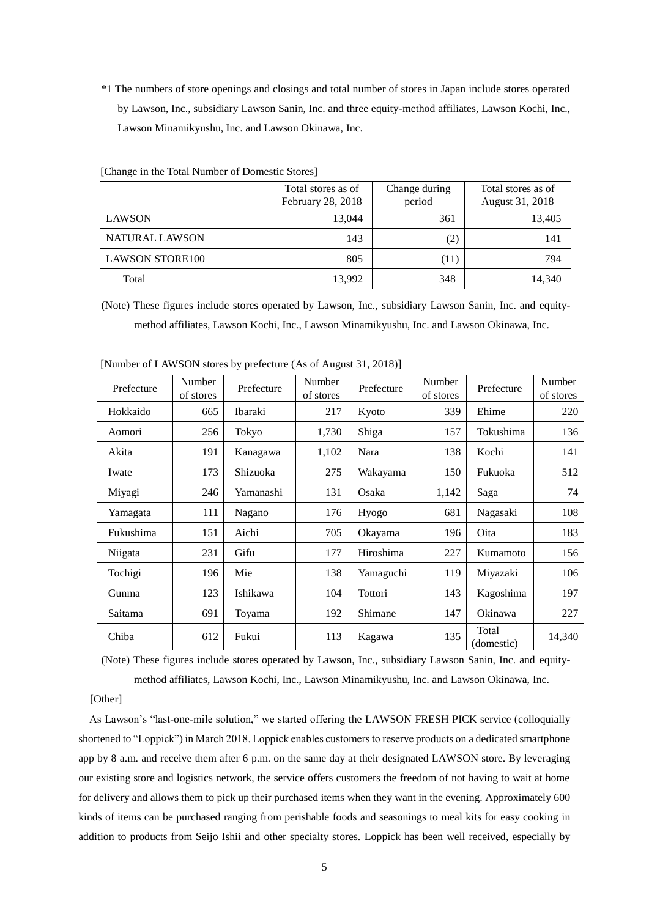\*1 The numbers of store openings and closings and total number of stores in Japan include stores operated by Lawson, Inc., subsidiary Lawson Sanin, Inc. and three equity-method affiliates, Lawson Kochi, Inc., Lawson Minamikyushu, Inc. and Lawson Okinawa, Inc.

|                        | Total stores as of<br>February 28, 2018 | Change during<br>period | Total stores as of<br>August 31, 2018 |
|------------------------|-----------------------------------------|-------------------------|---------------------------------------|
| <b>LAWSON</b>          | 13,044                                  | 361                     | 13,405                                |
| NATURAL LAWSON         | 143                                     | (2)                     | 141                                   |
| <b>LAWSON STORE100</b> | 805                                     | (11)                    | 794                                   |
| Total                  | 13,992                                  | 348                     | 14,340                                |

[Change in the Total Number of Domestic Stores]

(Note) These figures include stores operated by Lawson, Inc., subsidiary Lawson Sanin, Inc. and equitymethod affiliates, Lawson Kochi, Inc., Lawson Minamikyushu, Inc. and Lawson Okinawa, Inc.

| Prefecture | Number<br>of stores | Prefecture | Number<br>of stores | Prefecture | Number<br>of stores | Prefecture          | Number<br>of stores |
|------------|---------------------|------------|---------------------|------------|---------------------|---------------------|---------------------|
| Hokkaido   | 665                 | Ibaraki    | 217                 | Kyoto      | 339                 | Ehime               | 220                 |
| Aomori     | 256                 | Tokyo      | 1,730               | Shiga      | 157                 | Tokushima           | 136                 |
| Akita      | 191                 | Kanagawa   | 1,102               | Nara       | 138                 | Kochi               | 141                 |
| Iwate      | 173                 | Shizuoka   | 275                 | Wakayama   | 150                 | Fukuoka             | 512                 |
| Miyagi     | 246                 | Yamanashi  | 131                 | Osaka      | 1,142               | Saga                | 74                  |
| Yamagata   | 111                 | Nagano     | 176                 | Hyogo      | 681                 | Nagasaki            | 108                 |
| Fukushima  | 151                 | Aichi      | 705                 | Okayama    | 196                 | Oita                | 183                 |
| Niigata    | 231                 | Gifu       | 177                 | Hiroshima  | 227                 | Kumamoto            | 156                 |
| Tochigi    | 196                 | Mie        | 138                 | Yamaguchi  | 119                 | Miyazaki            | 106                 |
| Gunma      | 123                 | Ishikawa   | 104                 | Tottori    | 143                 | Kagoshima           | 197                 |
| Saitama    | 691                 | Toyama     | 192                 | Shimane    | 147                 | Okinawa             | 227                 |
| Chiba      | 612                 | Fukui      | 113                 | Kagawa     | 135                 | Total<br>(domestic) | 14,340              |

[Number of LAWSON stores by prefecture (As of August 31, 2018)]

(Note) These figures include stores operated by Lawson, Inc., subsidiary Lawson Sanin, Inc. and equitymethod affiliates, Lawson Kochi, Inc., Lawson Minamikyushu, Inc. and Lawson Okinawa, Inc.

#### [Other]

As Lawson's "last-one-mile solution," we started offering the LAWSON FRESH PICK service (colloquially shortened to "Loppick") in March 2018. Loppick enables customers to reserve products on a dedicated smartphone app by 8 a.m. and receive them after 6 p.m. on the same day at their designated LAWSON store. By leveraging our existing store and logistics network, the service offers customers the freedom of not having to wait at home for delivery and allows them to pick up their purchased items when they want in the evening. Approximately 600 kinds of items can be purchased ranging from perishable foods and seasonings to meal kits for easy cooking in addition to products from Seijo Ishii and other specialty stores. Loppick has been well received, especially by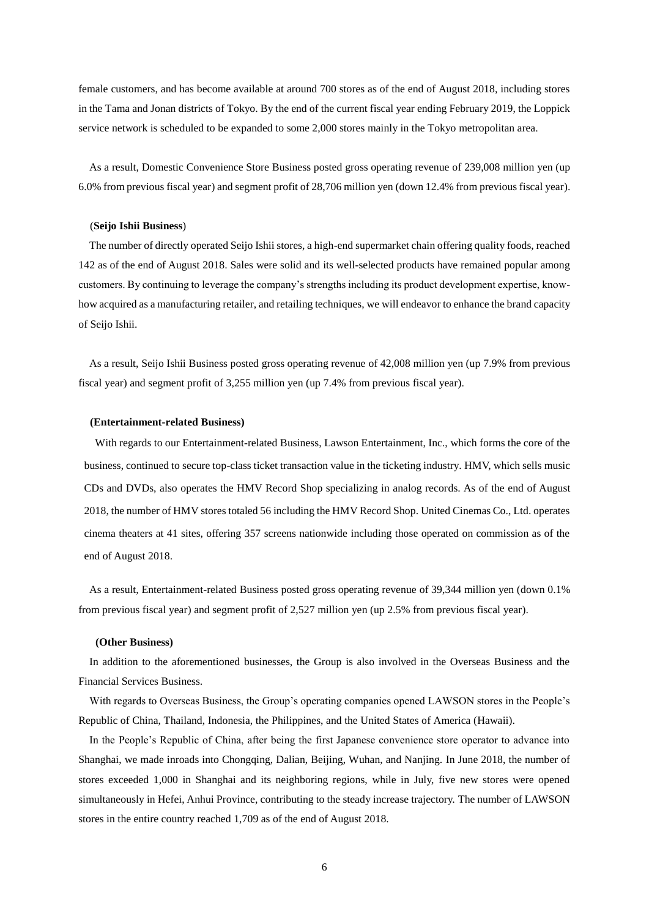female customers, and has become available at around 700 stores as of the end of August 2018, including stores in the Tama and Jonan districts of Tokyo. By the end of the current fiscal year ending February 2019, the Loppick service network is scheduled to be expanded to some 2,000 stores mainly in the Tokyo metropolitan area.

As a result, Domestic Convenience Store Business posted gross operating revenue of 239,008 million yen (up 6.0% from previous fiscal year) and segment profit of 28,706 million yen (down 12.4% from previous fiscal year).

#### (**Seijo Ishii Business**)

The number of directly operated Seijo Ishii stores, a high-end supermarket chain offering quality foods, reached 142 as of the end of August 2018. Sales were solid and its well-selected products have remained popular among customers. By continuing to leverage the company's strengths including its product development expertise, knowhow acquired as a manufacturing retailer, and retailing techniques, we will endeavor to enhance the brand capacity of Seijo Ishii.

As a result, Seijo Ishii Business posted gross operating revenue of 42,008 million yen (up 7.9% from previous fiscal year) and segment profit of 3,255 million yen (up 7.4% from previous fiscal year).

#### **(Entertainment-related Business)**

With regards to our Entertainment-related Business, Lawson Entertainment, Inc., which forms the core of the business, continued to secure top-class ticket transaction value in the ticketing industry. HMV, which sells music CDs and DVDs, also operates the HMV Record Shop specializing in analog records. As of the end of August 2018, the number of HMV stores totaled 56 including the HMV Record Shop. United Cinemas Co., Ltd. operates cinema theaters at 41 sites, offering 357 screens nationwide including those operated on commission as of the end of August 2018.

As a result, Entertainment-related Business posted gross operating revenue of 39,344 million yen (down 0.1% from previous fiscal year) and segment profit of 2,527 million yen (up 2.5% from previous fiscal year).

### **(Other Business)**

In addition to the aforementioned businesses, the Group is also involved in the Overseas Business and the Financial Services Business.

With regards to Overseas Business, the Group's operating companies opened LAWSON stores in the People's Republic of China, Thailand, Indonesia, the Philippines, and the United States of America (Hawaii).

In the People's Republic of China, after being the first Japanese convenience store operator to advance into Shanghai, we made inroads into Chongqing, Dalian, Beijing, Wuhan, and Nanjing. In June 2018, the number of stores exceeded 1,000 in Shanghai and its neighboring regions, while in July, five new stores were opened simultaneously in Hefei, Anhui Province, contributing to the steady increase trajectory. The number of LAWSON stores in the entire country reached 1,709 as of the end of August 2018.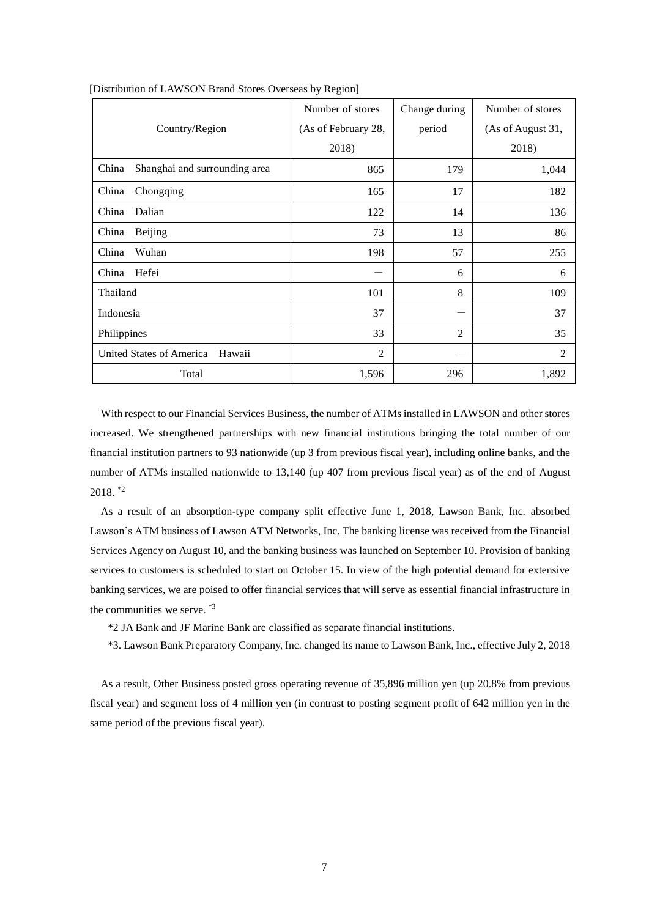|                                        | Number of stores    | Change during | Number of stores  |
|----------------------------------------|---------------------|---------------|-------------------|
| Country/Region                         | (As of February 28, | period        | (As of August 31, |
|                                        | 2018)               |               | 2018)             |
| China<br>Shanghai and surrounding area | 865                 | 179           | 1,044             |
| China<br>Chongqing                     | 165                 | 17            | 182               |
| Dalian<br>China                        | 122                 | 14            | 136               |
| China<br>Beijing                       | 73                  | 13            | 86                |
| China<br>Wuhan                         | 198                 | 57            | 255               |
| Hefei<br>China                         |                     | 6             | 6                 |
| Thailand                               | 101                 | 8             | 109               |
| Indonesia                              | 37                  |               | 37                |
| Philippines                            | 33                  | 2             | 35                |
| United States of America<br>Hawaii     | $\overline{2}$      |               | $\overline{2}$    |
| Total                                  | 1,596               | 296           | 1,892             |

[Distribution of LAWSON Brand Stores Overseas by Region]

With respect to our Financial Services Business, the number of ATMs installed in LAWSON and other stores increased. We strengthened partnerships with new financial institutions bringing the total number of our financial institution partners to 93 nationwide (up 3 from previous fiscal year), including online banks, and the number of ATMs installed nationwide to 13,140 (up 407 from previous fiscal year) as of the end of August  $2018.$  \*2

As a result of an absorption-type company split effective June 1, 2018, Lawson Bank, Inc. absorbed Lawson's ATM business of Lawson ATM Networks, Inc. The banking license was received from the Financial Services Agency on August 10, and the banking business was launched on September 10. Provision of banking services to customers is scheduled to start on October 15. In view of the high potential demand for extensive banking services, we are poised to offer financial services that will serve as essential financial infrastructure in the communities we serve. \*3

\*2 JA Bank and JF Marine Bank are classified as separate financial institutions.

\*3. Lawson Bank Preparatory Company, Inc. changed its name to Lawson Bank, Inc., effective July 2, 2018

As a result, Other Business posted gross operating revenue of 35,896 million yen (up 20.8% from previous fiscal year) and segment loss of 4 million yen (in contrast to posting segment profit of 642 million yen in the same period of the previous fiscal year).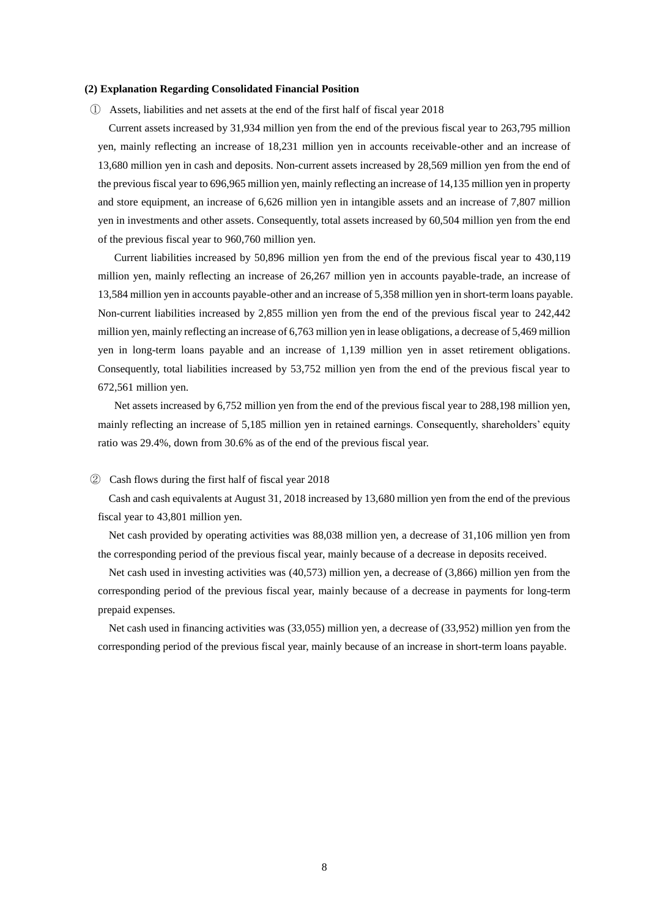### **(2) Explanation Regarding Consolidated Financial Position**

① Assets, liabilities and net assets at the end of the first half of fiscal year 2018

Current assets increased by 31,934 million yen from the end of the previous fiscal year to 263,795 million yen, mainly reflecting an increase of 18,231 million yen in accounts receivable-other and an increase of 13,680 million yen in cash and deposits. Non-current assets increased by 28,569 million yen from the end of the previous fiscal year to 696,965 million yen, mainly reflecting an increase of 14,135 million yen in property and store equipment, an increase of 6,626 million yen in intangible assets and an increase of 7,807 million yen in investments and other assets. Consequently, total assets increased by 60,504 million yen from the end of the previous fiscal year to 960,760 million yen.

Current liabilities increased by 50,896 million yen from the end of the previous fiscal year to 430,119 million yen, mainly reflecting an increase of 26,267 million yen in accounts payable-trade, an increase of 13,584 million yen in accounts payable-other and an increase of 5,358 million yen in short-term loans payable. Non-current liabilities increased by 2,855 million yen from the end of the previous fiscal year to 242,442 million yen, mainly reflecting an increase of 6,763 million yen in lease obligations, a decrease of 5,469 million yen in long-term loans payable and an increase of 1,139 million yen in asset retirement obligations. Consequently, total liabilities increased by 53,752 million yen from the end of the previous fiscal year to 672,561 million yen.

Net assets increased by 6,752 million yen from the end of the previous fiscal year to 288,198 million yen, mainly reflecting an increase of 5,185 million yen in retained earnings. Consequently, shareholders' equity ratio was 29.4%, down from 30.6% as of the end of the previous fiscal year.

#### ② Cash flows during the first half of fiscal year 2018

Cash and cash equivalents at August 31, 2018 increased by 13,680 million yen from the end of the previous fiscal year to 43,801 million yen.

Net cash provided by operating activities was 88,038 million yen, a decrease of 31,106 million yen from the corresponding period of the previous fiscal year, mainly because of a decrease in deposits received.

Net cash used in investing activities was (40,573) million yen, a decrease of (3,866) million yen from the corresponding period of the previous fiscal year, mainly because of a decrease in payments for long-term prepaid expenses.

Net cash used in financing activities was (33,055) million yen, a decrease of (33,952) million yen from the corresponding period of the previous fiscal year, mainly because of an increase in short-term loans payable.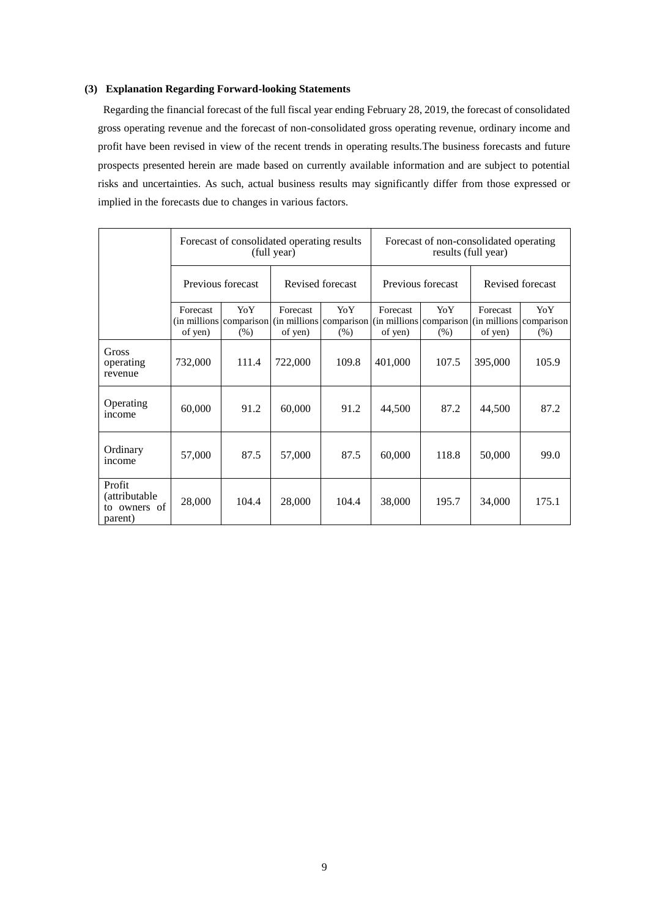# **(3) Explanation Regarding Forward-looking Statements**

Regarding the financial forecast of the full fiscal year ending February 28, 2019, the forecast of consolidated gross operating revenue and the forecast of non-consolidated gross operating revenue, ordinary income and profit have been revised in view of the recent trends in operating results.The business forecasts and future prospects presented herein are made based on currently available information and are subject to potential risks and uncertainties. As such, actual business results may significantly differ from those expressed or implied in the forecasts due to changes in various factors.

|                                                    | Forecast of consolidated operating results<br>(full year) |                                         |                     | Forecast of non-consolidated operating<br>results (full year)                            |                     |                |                     |              |
|----------------------------------------------------|-----------------------------------------------------------|-----------------------------------------|---------------------|------------------------------------------------------------------------------------------|---------------------|----------------|---------------------|--------------|
|                                                    | Previous forecast                                         |                                         | Revised forecast    |                                                                                          | Previous forecast   |                | Revised forecast    |              |
|                                                    | Forecast<br>of yen)                                       | YoY.<br>(in millions comparison<br>(% ) | Forecast<br>of yen) | YoY.<br>(in millions comparison (in millions comparison (in millions comparison)<br>(% ) | Forecast<br>of yen) | YoY<br>$(\% )$ | Forecast<br>of yen) | YoY.<br>(% ) |
| Gross<br>operating<br>revenue                      | 732,000                                                   | 111.4                                   | 722,000             | 109.8                                                                                    | 401,000             | 107.5          | 395,000             | 105.9        |
| Operating<br>income                                | 60,000                                                    | 91.2                                    | 60,000              | 91.2                                                                                     | 44,500              | 87.2           | 44,500              | 87.2         |
| Ordinary<br>income                                 | 57,000                                                    | 87.5                                    | 57,000              | 87.5                                                                                     | 60,000              | 118.8          | 50,000              | 99.0         |
| Profit<br>(attributable<br>to owners of<br>parent) | 28,000                                                    | 104.4                                   | 28,000              | 104.4                                                                                    | 38,000              | 195.7          | 34,000              | 175.1        |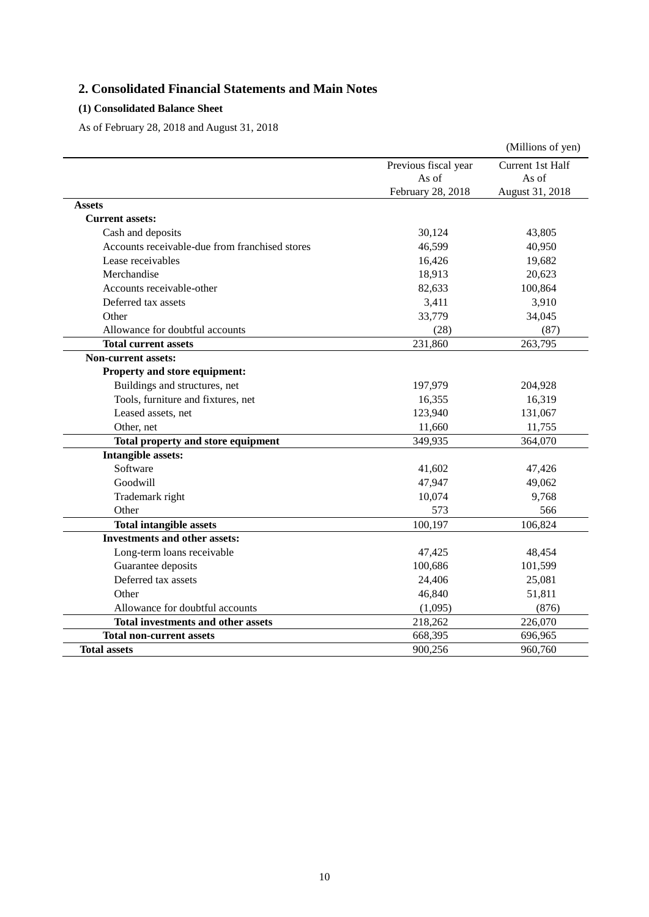# **2. Consolidated Financial Statements and Main Notes**

# **(1) Consolidated Balance Sheet**

As of February 28, 2018 and August 31, 2018

|                                                |                      | (Millions of yen) |
|------------------------------------------------|----------------------|-------------------|
|                                                | Previous fiscal year | Current 1st Half  |
|                                                | As of                | As of             |
|                                                | February 28, 2018    | August 31, 2018   |
| <b>Assets</b>                                  |                      |                   |
| <b>Current assets:</b>                         |                      |                   |
| Cash and deposits                              | 30,124               | 43,805            |
| Accounts receivable-due from franchised stores | 46,599               | 40,950            |
| Lease receivables                              | 16,426               | 19,682            |
| Merchandise                                    | 18,913               | 20,623            |
| Accounts receivable-other                      | 82,633               | 100,864           |
| Deferred tax assets                            | 3,411                | 3,910             |
| Other                                          | 33,779               | 34,045            |
| Allowance for doubtful accounts                | (28)                 | (87)              |
| <b>Total current assets</b>                    | 231,860              | 263,795           |
| <b>Non-current assets:</b>                     |                      |                   |
| Property and store equipment:                  |                      |                   |
| Buildings and structures, net                  | 197,979              | 204,928           |
| Tools, furniture and fixtures, net             | 16,355               | 16,319            |
| Leased assets, net                             | 123,940              | 131,067           |
| Other, net                                     | 11,660               | 11,755            |
| Total property and store equipment             | 349,935              | 364,070           |
| Intangible assets:                             |                      |                   |
| Software                                       | 41,602               | 47,426            |
| Goodwill                                       | 47,947               | 49,062            |
| Trademark right                                | 10,074               | 9,768             |
| Other                                          | 573                  | 566               |
| <b>Total intangible assets</b>                 | 100,197              | 106,824           |
| <b>Investments and other assets:</b>           |                      |                   |
| Long-term loans receivable                     | 47,425               | 48,454            |
| Guarantee deposits                             | 100,686              | 101,599           |
| Deferred tax assets                            | 24,406               | 25,081            |
| Other                                          | 46,840               | 51,811            |
| Allowance for doubtful accounts                | (1,095)              | (876)             |
| <b>Total investments and other assets</b>      | 218,262              | 226,070           |
| <b>Total non-current assets</b>                | 668,395              | 696,965           |
| <b>Total assets</b>                            | 900,256              | 960,760           |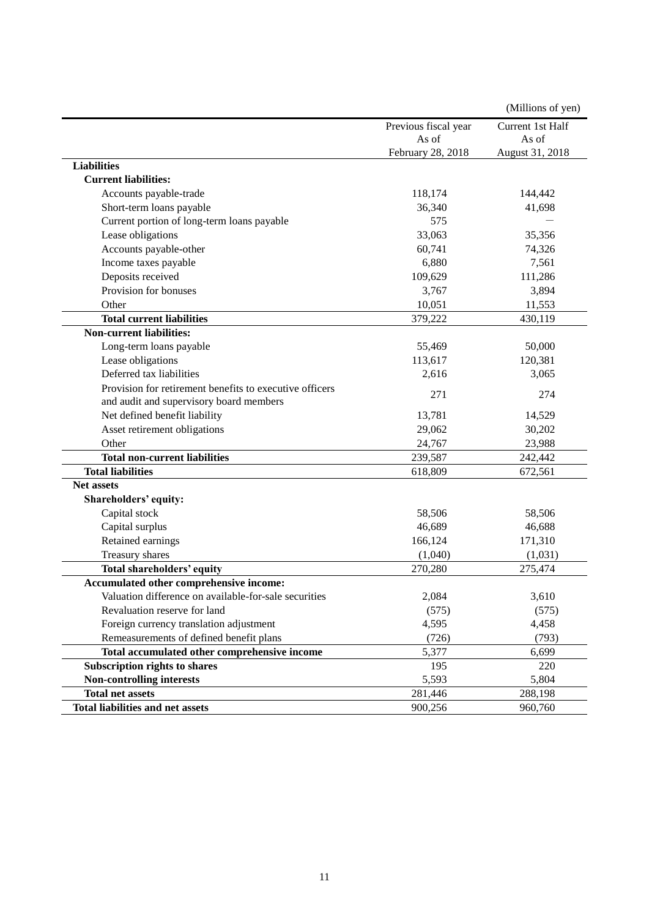|                                                         |                      | (Millions of yen) |
|---------------------------------------------------------|----------------------|-------------------|
|                                                         | Previous fiscal year | Current 1st Half  |
|                                                         | As of                | As of             |
|                                                         | February 28, 2018    | August 31, 2018   |
| <b>Liabilities</b>                                      |                      |                   |
| <b>Current liabilities:</b>                             |                      |                   |
| Accounts payable-trade                                  | 118,174              | 144,442           |
| Short-term loans payable                                | 36,340               | 41,698            |
| Current portion of long-term loans payable              | 575                  |                   |
| Lease obligations                                       | 33,063               | 35,356            |
| Accounts payable-other                                  | 60,741               | 74,326            |
| Income taxes payable                                    | 6,880                | 7,561             |
| Deposits received                                       | 109,629              | 111,286           |
| Provision for bonuses                                   | 3,767                | 3,894             |
| Other                                                   | 10,051               | 11,553            |
| <b>Total current liabilities</b>                        | 379,222              | 430,119           |
| <b>Non-current liabilities:</b>                         |                      |                   |
| Long-term loans payable                                 | 55,469               | 50,000            |
| Lease obligations                                       | 113,617              | 120,381           |
| Deferred tax liabilities                                | 2,616                | 3,065             |
| Provision for retirement benefits to executive officers |                      |                   |
| and audit and supervisory board members                 | 271                  | 274               |
| Net defined benefit liability                           | 13,781               | 14,529            |
| Asset retirement obligations                            | 29,062               | 30,202            |
| Other                                                   | 24,767               | 23,988            |
| <b>Total non-current liabilities</b>                    | 239,587              | 242,442           |
| <b>Total liabilities</b>                                | 618,809              | 672,561           |
| <b>Net assets</b>                                       |                      |                   |
| Shareholders' equity:                                   |                      |                   |
| Capital stock                                           | 58,506               | 58,506            |
| Capital surplus                                         | 46,689               | 46,688            |
| Retained earnings                                       | 166,124              | 171,310           |
| Treasury shares                                         | (1,040)              | (1,031)           |
| Total shareholders' equity                              | 270,280              | 275,474           |
| Accumulated other comprehensive income:                 |                      |                   |
| Valuation difference on available-for-sale securities   | 2,084                | 3,610             |
| Revaluation reserve for land                            | (575)                | (575)             |
| Foreign currency translation adjustment                 | 4,595                | 4,458             |
| Remeasurements of defined benefit plans                 | (726)                | (793)             |
| Total accumulated other comprehensive income            | 5,377                | 6,699             |
| Subscription rights to shares                           | 195                  | 220               |
| <b>Non-controlling interests</b>                        | 5,593                | 5,804             |
| <b>Total net assets</b>                                 | 281,446              | 288,198           |
| <b>Total liabilities and net assets</b>                 | 900,256              | 960,760           |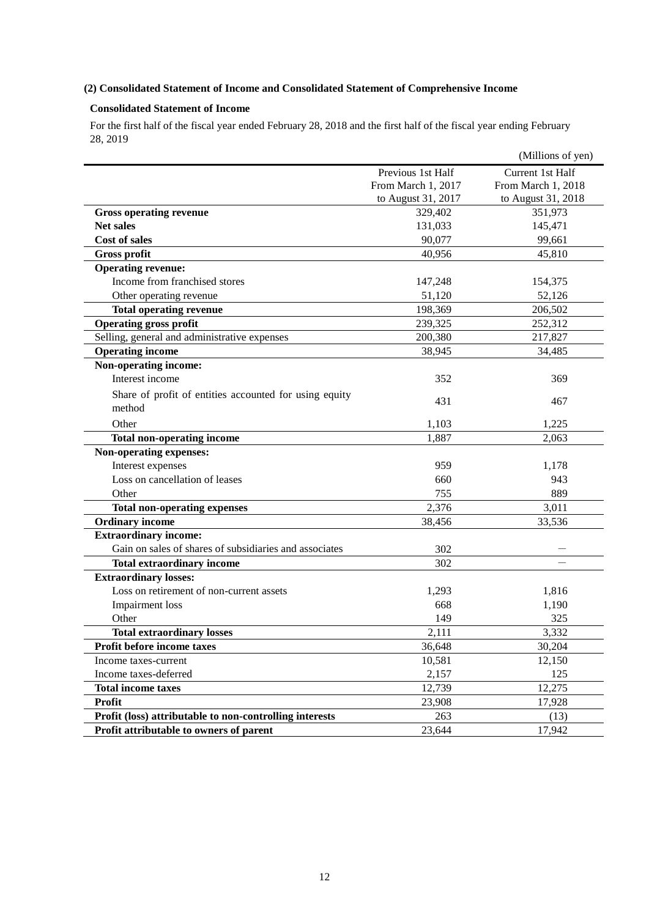# **(2) Consolidated Statement of Income and Consolidated Statement of Comprehensive Income**

# **Consolidated Statement of Income**

For the first half of the fiscal year ended February 28, 2018 and the first half of the fiscal year ending February 28, 2019

|                                                                  |                    | (Millions of yen)  |
|------------------------------------------------------------------|--------------------|--------------------|
|                                                                  | Previous 1st Half  | Current 1st Half   |
|                                                                  | From March 1, 2017 | From March 1, 2018 |
|                                                                  | to August 31, 2017 | to August 31, 2018 |
| <b>Gross operating revenue</b>                                   | 329,402            | 351,973            |
| <b>Net sales</b>                                                 | 131,033            | 145,471            |
| <b>Cost of sales</b>                                             | 90,077             | 99,661             |
| <b>Gross profit</b>                                              | 40,956             | 45,810             |
| <b>Operating revenue:</b>                                        |                    |                    |
| Income from franchised stores                                    | 147,248            | 154,375            |
| Other operating revenue                                          | 51,120             | 52,126             |
| <b>Total operating revenue</b>                                   | 198,369            | 206,502            |
| <b>Operating gross profit</b>                                    | 239,325            | 252,312            |
| Selling, general and administrative expenses                     | 200,380            | 217,827            |
| <b>Operating income</b>                                          | 38,945             | 34,485             |
| Non-operating income:                                            |                    |                    |
| Interest income                                                  | 352                | 369                |
| Share of profit of entities accounted for using equity<br>method | 431                | 467                |
| Other                                                            | 1,103              | 1,225              |
| <b>Total non-operating income</b>                                | 1,887              | 2,063              |
| Non-operating expenses:                                          |                    |                    |
| Interest expenses                                                | 959                | 1,178              |
| Loss on cancellation of leases                                   | 660                | 943                |
| Other                                                            | 755                | 889                |
| <b>Total non-operating expenses</b>                              | 2,376              | 3,011              |
| <b>Ordinary income</b>                                           | 38,456             | 33,536             |
| <b>Extraordinary income:</b>                                     |                    |                    |
| Gain on sales of shares of subsidiaries and associates           | 302                |                    |
| <b>Total extraordinary income</b>                                | 302                |                    |
| <b>Extraordinary losses:</b>                                     |                    |                    |
| Loss on retirement of non-current assets                         | 1,293              | 1,816              |
| Impairment loss                                                  | 668                | 1,190              |
| Other                                                            | 149                | 325                |
| <b>Total extraordinary losses</b>                                | 2,111              | 3,332              |
| Profit before income taxes                                       | 36,648             | 30,204             |
| Income taxes-current                                             | 10,581             | 12,150             |
| Income taxes-deferred                                            | 2,157              | 125                |
| <b>Total income taxes</b>                                        | 12,739             | 12,275             |
| <b>Profit</b>                                                    | 23,908             | 17,928             |
| Profit (loss) attributable to non-controlling interests          | 263                | (13)               |
| Profit attributable to owners of parent                          | 23,644             | 17,942             |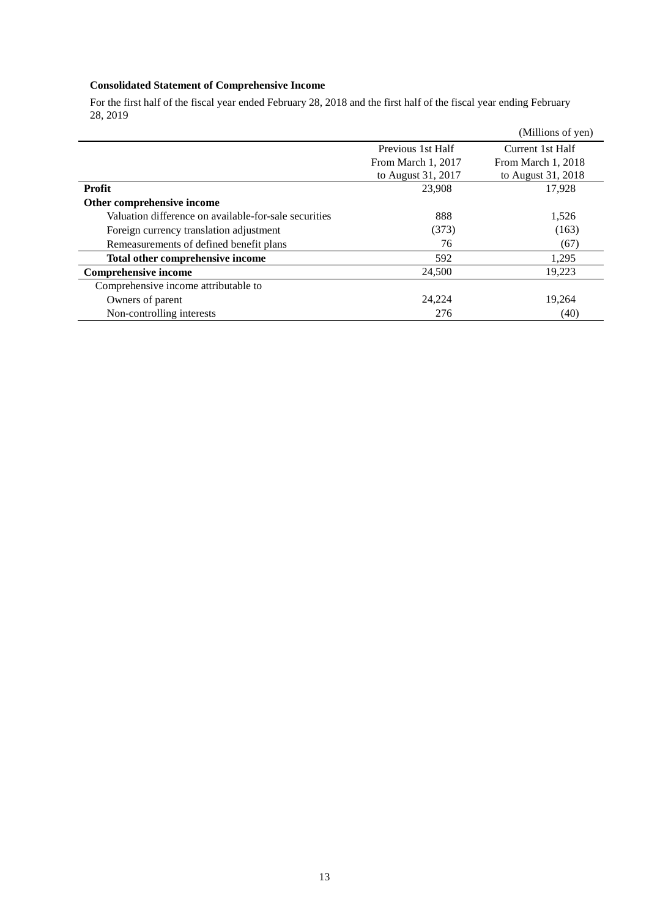# **Consolidated Statement of Comprehensive Income**

For the first half of the fiscal year ended February 28, 2018 and the first half of the fiscal year ending February 28, 2019

|                                                       |                    | (Millions of yen)  |
|-------------------------------------------------------|--------------------|--------------------|
|                                                       | Previous 1st Half  | Current 1st Half   |
|                                                       | From March 1, 2017 | From March 1, 2018 |
|                                                       | to August 31, 2017 | to August 31, 2018 |
| <b>Profit</b>                                         | 23,908             | 17.928             |
| Other comprehensive income                            |                    |                    |
| Valuation difference on available-for-sale securities | 888                | 1,526              |
| Foreign currency translation adjustment               | (373)              | (163)              |
| Remeasurements of defined benefit plans               | 76                 | (67)               |
| Total other comprehensive income                      | 592                | 1,295              |
| <b>Comprehensive income</b>                           | 24,500             | 19,223             |
| Comprehensive income attributable to                  |                    |                    |
| Owners of parent                                      | 24,224             | 19,264             |
| Non-controlling interests                             | 276                | (40)               |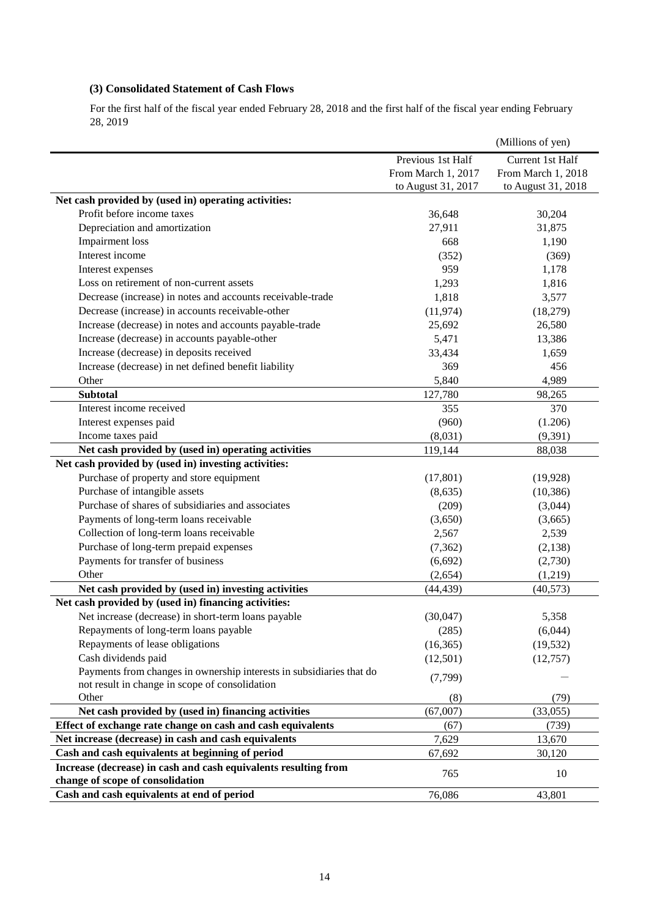# **(3) Consolidated Statement of Cash Flows**

For the first half of the fiscal year ended February 28, 2018 and the first half of the fiscal year ending February 28, 2019

|                                                                      |                    | (Millions of yen)  |
|----------------------------------------------------------------------|--------------------|--------------------|
|                                                                      | Previous 1st Half  | Current 1st Half   |
|                                                                      | From March 1, 2017 | From March 1, 2018 |
|                                                                      | to August 31, 2017 | to August 31, 2018 |
| Net cash provided by (used in) operating activities:                 |                    |                    |
| Profit before income taxes                                           | 36,648             | 30,204             |
| Depreciation and amortization                                        | 27,911             | 31,875             |
| <b>Impairment</b> loss                                               | 668                | 1,190              |
| Interest income                                                      | (352)              | (369)              |
| Interest expenses                                                    | 959                | 1,178              |
| Loss on retirement of non-current assets                             | 1,293              | 1,816              |
| Decrease (increase) in notes and accounts receivable-trade           | 1,818              | 3,577              |
| Decrease (increase) in accounts receivable-other                     | (11, 974)          | (18,279)           |
| Increase (decrease) in notes and accounts payable-trade              | 25,692             | 26,580             |
| Increase (decrease) in accounts payable-other                        | 5,471              | 13,386             |
| Increase (decrease) in deposits received                             | 33,434             | 1,659              |
| Increase (decrease) in net defined benefit liability                 | 369                | 456                |
| Other                                                                | 5,840              | 4,989              |
| <b>Subtotal</b>                                                      | 127,780            | 98,265             |
| Interest income received                                             | 355                | 370                |
| Interest expenses paid                                               | (960)              | (1.206)            |
| Income taxes paid                                                    | (8,031)            | (9, 391)           |
| Net cash provided by (used in) operating activities                  | 119,144            | 88,038             |
| Net cash provided by (used in) investing activities:                 |                    |                    |
| Purchase of property and store equipment                             | (17, 801)          | (19, 928)          |
| Purchase of intangible assets                                        | (8, 635)           | (10, 386)          |
| Purchase of shares of subsidiaries and associates                    | (209)              | (3,044)            |
| Payments of long-term loans receivable                               | (3,650)            | (3,665)            |
| Collection of long-term loans receivable                             | 2,567              | 2,539              |
| Purchase of long-term prepaid expenses                               | (7, 362)           | (2, 138)           |
| Payments for transfer of business                                    | (6,692)            | (2,730)            |
| Other                                                                | (2,654)            | (1,219)            |
| Net cash provided by (used in) investing activities                  | (44, 439)          | (40,573)           |
| Net cash provided by (used in) financing activities:                 |                    |                    |
| Net increase (decrease) in short-term loans payable                  | (30,047)           | 5,358              |
| Repayments of long-term loans payable                                | (285)              | (6,044)            |
| Repayments of lease obligations                                      | (16, 365)          | (19, 532)          |
| Cash dividends paid                                                  | (12,501)           | (12,757)           |
| Payments from changes in ownership interests in subsidiaries that do |                    |                    |
| not result in change in scope of consolidation                       | (7,799)            |                    |
| Other                                                                | (8)                | (79)               |
| Net cash provided by (used in) financing activities                  | (67,007)           | (33,055)           |
| Effect of exchange rate change on cash and cash equivalents          | (67)               | (739)              |
| Net increase (decrease) in cash and cash equivalents                 | 7,629              | 13,670             |
| Cash and cash equivalents at beginning of period                     | 67,692             | 30,120             |
| Increase (decrease) in cash and cash equivalents resulting from      | 765                | 10                 |
| change of scope of consolidation                                     |                    |                    |
| Cash and cash equivalents at end of period                           | 76,086             | 43,801             |